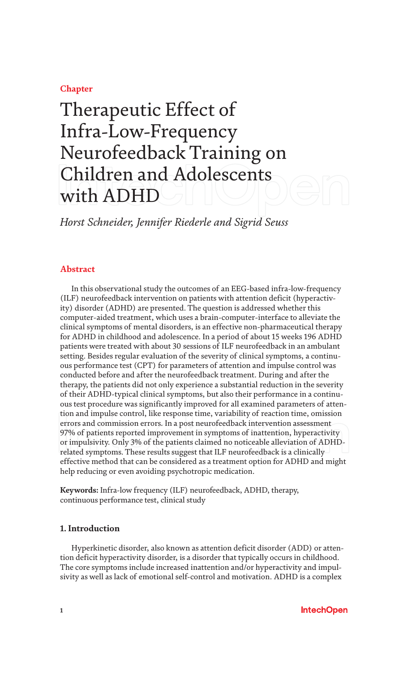# **Chapter**

# Therapeutic Effect of Infra-Low-Frequency Neurofeedback Training on Children and Adolescents with ADHD

*Horst Schneider, Jennifer Riederle and Sigrid Seuss*

# **Abstract**

In this observational study the outcomes of an EEG-based infra-low-frequency (ILF) neurofeedback intervention on patients with attention deficit (hyperactivity) disorder (ADHD) are presented. The question is addressed whether this computer-aided treatment, which uses a brain-computer-interface to alleviate the clinical symptoms of mental disorders, is an effective non-pharmaceutical therapy for ADHD in childhood and adolescence. In a period of about 15 weeks 196 ADHD patients were treated with about 30 sessions of ILF neurofeedback in an ambulant setting. Besides regular evaluation of the severity of clinical symptoms, a continuous performance test (CPT) for parameters of attention and impulse control was conducted before and after the neurofeedback treatment. During and after the therapy, the patients did not only experience a substantial reduction in the severity of their ADHD-typical clinical symptoms, but also their performance in a continuous test procedure was significantly improved for all examined parameters of attention and impulse control, like response time, variability of reaction time, omission errors and commission errors. In a post neurofeedback intervention assessment 97% of patients reported improvement in symptoms of inattention, hyperactivity or impulsivity. Only 3% of the patients claimed no noticeable alleviation of ADHDrelated symptoms. These results suggest that ILF neurofeedback is a clinically effective method that can be considered as a treatment option for ADHD and might help reducing or even avoiding psychotropic medication.

**Keywords:** Infra-low frequency (ILF) neurofeedback, ADHD, therapy, continuous performance test, clinical study

# **1. Introduction**

Hyperkinetic disorder, also known as attention deficit disorder (ADD) or attention deficit hyperactivity disorder, is a disorder that typically occurs in childhood. The core symptoms include increased inattention and/or hyperactivity and impulsivity as well as lack of emotional self-control and motivation. ADHD is a complex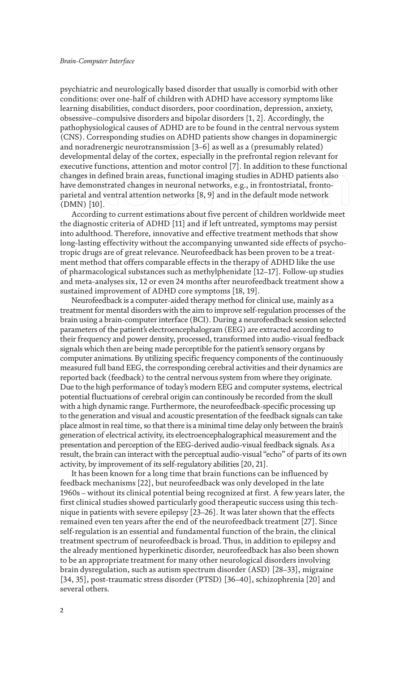psychiatric and neurologically based disorder that usually is comorbid with other conditions: over one-half of children with ADHD have accessory symptoms like learning disabilities, conduct disorders, poor coordination, depression, anxiety, obsessive–compulsive disorders and bipolar disorders [1, 2]. Accordingly, the pathophysiological causes of ADHD are to be found in the central nervous system (CNS). Corresponding studies on ADHD patients show changes in dopaminergic and noradrenergic neurotransmission [3–6] as well as a (presumably related) developmental delay of the cortex, especially in the prefrontal region relevant for executive functions, attention and motor control [7]. In addition to these functional changes in defined brain areas, functional imaging studies in ADHD patients also have demonstrated changes in neuronal networks, e.g., in frontostriatal, frontoparietal and ventral attention networks [8, 9] and in the default mode network (DMN) [10].

According to current estimations about five percent of children worldwide meet the diagnostic criteria of ADHD [11] and if left untreated, symptoms may persist into adulthood. Therefore, innovative and effective treatment methods that show long-lasting effectivity without the accompanying unwanted side effects of psychotropic drugs are of great relevance. Neurofeedback has been proven to be a treatment method that offers comparable effects in the therapy of ADHD like the use of pharmacological substances such as methylphenidate [12–17]. Follow-up studies and meta-analyses six, 12 or even 24 months after neurofeedback treatment show a sustained improvement of ADHD core symptoms [18, 19].

Neurofeedback is a computer-aided therapy method for clinical use, mainly as a treatment for mental disorders with the aim to improve self-regulation processes of the brain using a brain-computer interface (BCI). During a neurofeedback session selected parameters of the patient's electroencephalogram (EEG) are extracted according to their frequency and power density, processed, transformed into audio-visual feedback signals which then are being made perceptible for the patient's sensory organs by computer animations. By utilizing specific frequency components of the continuously measured full band EEG, the corresponding cerebral activities and their dynamics are reported back (feedback) to the central nervous system from where they originate. Due to the high performance of today's modern EEG and computer systems, electrical potential fluctuations of cerebral origin can continously be recorded from the skull with a high dynamic range. Furthermore, the neurofeedback-specific processing up to the generation and visual and acoustic presentation of the feedback signals can take place almost in real time, so that there is a minimal time delay only between the brain's generation of electrical activity, its electroencephalographical measurement and the presentation and perception of the EEG-derived audio-visual feedback signals. As a result, the brain can interact with the perceptual audio-visual "echo" of parts of its own activity, by improvement of its self-regulatory abilities [20, 21].

It has been known for a long time that brain functions can be influenced by feedback mechanisms [22], but neurofeedback was only developed in the late 1960s – without its clinical potential being recognized at first. A few years later, the first clinical studies showed particularly good therapeutic success using this technique in patients with severe epilepsy [23–26]. It was later shown that the effects remained even ten years after the end of the neurofeedback treatment [27]. Since self-regulation is an essential and fundamental function of the brain, the clinical treatment spectrum of neurofeedback is broad. Thus, in addition to epilepsy and the already mentioned hyperkinetic disorder, neurofeedback has also been shown to be an appropriate treatment for many other neurological disorders involving brain dysregulation, such as autism spectrum disorder (ASD) [28–33], migraine [34, 35], post-traumatic stress disorder (PTSD) [36–40], schizophrenia [20] and several others.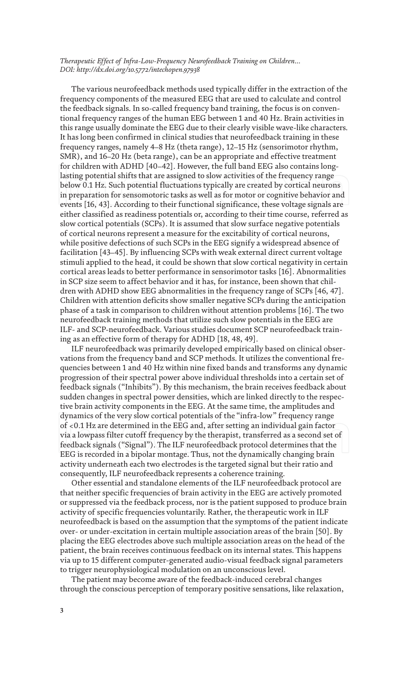The various neurofeedback methods used typically differ in the extraction of the frequency components of the measured EEG that are used to calculate and control the feedback signals. In so-called frequency band training, the focus is on conventional frequency ranges of the human EEG between 1 and 40 Hz. Brain activities in this range usually dominate the EEG due to their clearly visible wave-like characters. It has long been confirmed in clinical studies that neurofeedback training in these frequency ranges, namely 4–8 Hz (theta range), 12–15 Hz (sensorimotor rhythm, SMR), and 16–20 Hz (beta range), can be an appropriate and effective treatment for children with ADHD [40–42]. However, the full band EEG also contains longlasting potential shifts that are assigned to slow activities of the frequency range below 0.1 Hz. Such potential fluctuations typically are created by cortical neurons in preparation for sensomotoric tasks as well as for motor or cognitive behavior and events [16, 43]. According to their functional significance, these voltage signals are either classified as readiness potentials or, according to their time course, referred as slow cortical potentials (SCPs). It is assumed that slow surface negative potentials of cortical neurons represent a measure for the excitability of cortical neurons, while positive defections of such SCPs in the EEG signify a widespread absence of facilitation [43–45]. By influencing SCPs with weak external direct current voltage stimuli applied to the head, it could be shown that slow cortical negativity in certain cortical areas leads to better performance in sensorimotor tasks [16]. Abnormalities in SCP size seem to affect behavior and it has, for instance, been shown that children with ADHD show EEG abnormalities in the frequency range of SCPs [46, 47]. Children with attention deficits show smaller negative SCPs during the anticipation phase of a task in comparison to children without attention problems [16]. The two neurofeedback training methods that utilize such slow potentials in the EEG are ILF- and SCP-neurofeedback. Various studies document SCP neurofeedback training as an effective form of therapy for ADHD [18, 48, 49].

ILF neurofeedback was primarily developed empirically based on clinical observations from the frequency band and SCP methods. It utilizes the conventional frequencies between 1 and 40 Hz within nine fixed bands and transforms any dynamic progression of their spectral power above individual thresholds into a certain set of feedback signals ("Inhibits"). By this mechanism, the brain receives feedback about sudden changes in spectral power densities, which are linked directly to the respective brain activity components in the EEG. At the same time, the amplitudes and dynamics of the very slow cortical potentials of the "infra-low" frequency range of <0.1 Hz are determined in the EEG and, after setting an individual gain factor via a lowpass filter cutoff frequency by the therapist, transferred as a second set of feedback signals ("Signal"). The ILF neurofeedback protocol determines that the EEG is recorded in a bipolar montage. Thus, not the dynamically changing brain activity underneath each two electrodes is the targeted signal but their ratio and consequently, ILF neurofeedback represents a coherence training.

Other essential and standalone elements of the ILF neurofeedback protocol are that neither specific frequencies of brain activity in the EEG are actively promoted or suppressed via the feedback process, nor is the patient supposed to produce brain activity of specific frequencies voluntarily. Rather, the therapeutic work in ILF neurofeedback is based on the assumption that the symptoms of the patient indicate over- or under-excitation in certain multiple association areas of the brain [50]. By placing the EEG electrodes above such multiple association areas on the head of the patient, the brain receives continuous feedback on its internal states. This happens via up to 15 different computer-generated audio-visual feedback signal parameters to trigger neurophysiological modulation on an unconscious level.

The patient may become aware of the feedback-induced cerebral changes through the conscious perception of temporary positive sensations, like relaxation,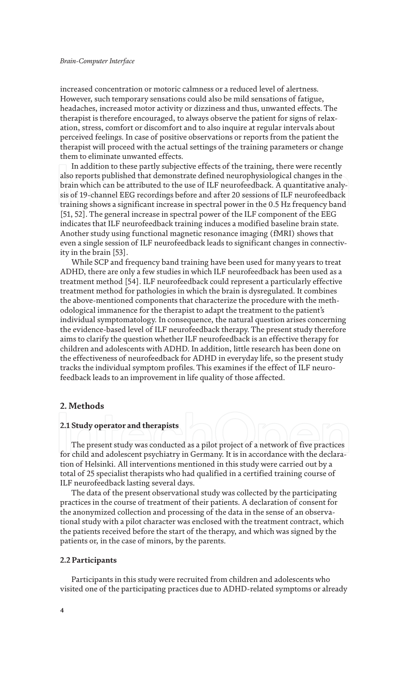#### *Brain-Computer Interface*

increased concentration or motoric calmness or a reduced level of alertness. However, such temporary sensations could also be mild sensations of fatigue, headaches, increased motor activity or dizziness and thus, unwanted effects. The therapist is therefore encouraged, to always observe the patient for signs of relaxation, stress, comfort or discomfort and to also inquire at regular intervals about perceived feelings. In case of positive observations or reports from the patient the therapist will proceed with the actual settings of the training parameters or change them to eliminate unwanted effects.

In addition to these partly subjective effects of the training, there were recently also reports published that demonstrate defined neurophysiological changes in the brain which can be attributed to the use of ILF neurofeedback. A quantitative analysis of 19-channel EEG recordings before and after 20 sessions of ILF neurofeedback training shows a significant increase in spectral power in the 0.5 Hz frequency band [51, 52]. The general increase in spectral power of the ILF component of the EEG indicates that ILF neurofeedback training induces a modified baseline brain state. Another study using functional magnetic resonance imaging (fMRI) shows that even a single session of ILF neurofeedback leads to significant changes in connectivity in the brain [53].

While SCP and frequency band training have been used for many years to treat ADHD, there are only a few studies in which ILF neurofeedback has been used as a treatment method [54]. ILF neurofeedback could represent a particularly effective treatment method for pathologies in which the brain is dysregulated. It combines the above-mentioned components that characterize the procedure with the methodological immanence for the therapist to adapt the treatment to the patient's individual symptomatology. In consequence, the natural question arises concerning the evidence-based level of ILF neurofeedback therapy. The present study therefore aims to clarify the question whether ILF neurofeedback is an effective therapy for children and adolescents with ADHD. In addition, little research has been done on the effectiveness of neurofeedback for ADHD in everyday life, so the present study tracks the individual symptom profiles. This examines if the effect of ILF neurofeedback leads to an improvement in life quality of those affected.

#### **2. Methods**

#### **2.1 Study operator and therapists**

The present study was conducted as a pilot project of a network of five practices for child and adolescent psychiatry in Germany. It is in accordance with the declaration of Helsinki. All interventions mentioned in this study were carried out by a total of 25 specialist therapists who had qualified in a certified training course of ILF neurofeedback lasting several days.

The data of the present observational study was collected by the participating practices in the course of treatment of their patients. A declaration of consent for the anonymized collection and processing of the data in the sense of an observational study with a pilot character was enclosed with the treatment contract, which the patients received before the start of the therapy, and which was signed by the patients or, in the case of minors, by the parents.

#### **2.2 Participants**

Participants in this study were recruited from children and adolescents who visited one of the participating practices due to ADHD-related symptoms or already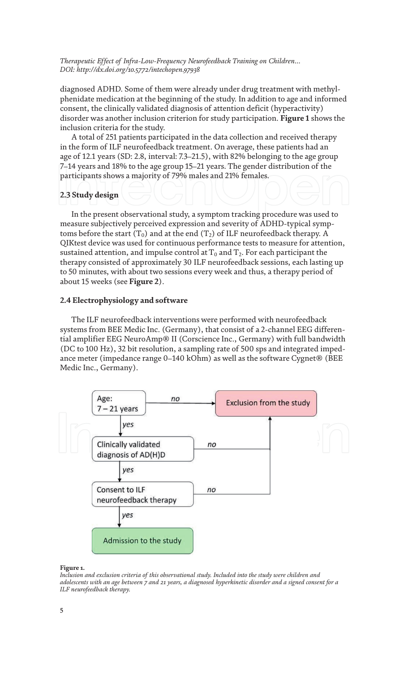diagnosed ADHD. Some of them were already under drug treatment with methylphenidate medication at the beginning of the study. In addition to age and informed consent, the clinically validated diagnosis of attention deficit (hyperactivity) disorder was another inclusion criterion for study participation. **Figure 1** shows the inclusion criteria for the study.

A total of 251 patients participated in the data collection and received therapy in the form of ILF neurofeedback treatment. On average, these patients had an age of 12.1 years (SD: 2.8, interval: 7.3–21.5), with 82% belonging to the age group 7–14 years and 18% to the age group 15–21 years. The gender distribution of the participants shows a majority of 79% males and 21% females.

### **2.3 Study design**

In the present observational study, a symptom tracking procedure was used to measure subjectively perceived expression and severity of ADHD-typical symptoms before the start (T<sub>0</sub>) and at the end (T<sub>2</sub>) of ILF neurofeedback therapy. A QIKtest device was used for continuous performance tests to measure for attention, sustained attention, and impulse control at  $T_0$  and  $T_2$ . For each participant the therapy consisted of approximately 30 ILF neurofeedback sessions, each lasting up to 50 minutes, with about two sessions every week and thus, a therapy period of about 15 weeks (see **Figure 2**).

#### **2.4 Electrophysiology and software**

The ILF neurofeedback interventions were performed with neurofeedback systems from BEE Medic Inc. (Germany), that consist of a 2-channel EEG differential amplifier EEG NeuroAmp® II (Corscience Inc., Germany) with full bandwidth (DC to 100 Hz), 32 bit resolution, a sampling rate of 500 sps and integrated impedance meter (impedance range 0–140 kOhm) as well as the software Cygnet® (BEE Medic Inc., Germany).



#### **Figure 1.**

*Inclusion and exclusion criteria of this observational study. Included into the study were children and adolescents with an age between 7 and 21 years, a diagnosed hyperkinetic disorder and a signed consent for a ILF neurofeedback therapy.*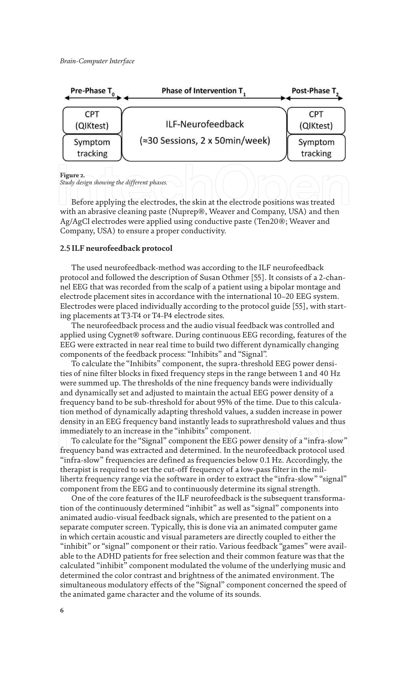

#### **Figure 2.**

*Study design showing the different phases.*

Before applying the electrodes, the skin at the electrode positions was treated with an abrasive cleaning paste (Nuprep®, Weaver and Company, USA) and then Ag/AgCl electrodes were applied using conductive paste (Ten20®; Weaver and Company, USA) to ensure a proper conductivity.

#### **2.5 ILF neurofeedback protocol**

The used neurofeedback-method was according to the ILF neurofeedback protocol and followed the description of Susan Othmer [55]. It consists of a 2-channel EEG that was recorded from the scalp of a patient using a bipolar montage and electrode placement sites in accordance with the international 10–20 EEG system. Electrodes were placed individually according to the protocol guide [55], with starting placements at T3-T4 or T4-P4 electrode sites.

The neurofeedback process and the audio visual feedback was controlled and applied using Cygnet® software. During continuous EEG recording, features of the EEG were extracted in near real time to build two different dynamically changing components of the feedback process: "Inhibits" and "Signal".

To calculate the "Inhibits" component, the supra-threshold EEG power densities of nine filter blocks in fixed frequency steps in the range between 1 and 40 Hz were summed up. The thresholds of the nine frequency bands were individually and dynamically set and adjusted to maintain the actual EEG power density of a frequency band to be sub-threshold for about 95% of the time. Due to this calculation method of dynamically adapting threshold values, a sudden increase in power density in an EEG frequency band instantly leads to suprathreshold values and thus immediately to an increase in the "inhibits" component.

To calculate for the "Signal" component the EEG power density of a "infra-slow" frequency band was extracted and determined. In the neurofeedback protocol used "infra-slow" frequencies are defined as frequencies below 0.1 Hz. Accordingly, the therapist is required to set the cut-off frequency of a low-pass filter in the millihertz frequency range via the software in order to extract the "infra-slow" "signal" component from the EEG and to continuously determine its signal strength.

One of the core features of the ILF neurofeedback is the subsequent transformation of the continuously determined "inhibit" as well as "signal" components into animated audio-visual feedback signals, which are presented to the patient on a separate computer screen. Typically, this is done via an animated computer game in which certain acoustic and visual parameters are directly coupled to either the "inhibit" or "signal" component or their ratio. Various feedback "games" were available to the ADHD patients for free selection and their common feature was that the calculated "inhibit" component modulated the volume of the underlying music and determined the color contrast and brightness of the animated environment. The simultaneous modulatory effects of the "Signal" component concerned the speed of the animated game character and the volume of its sounds.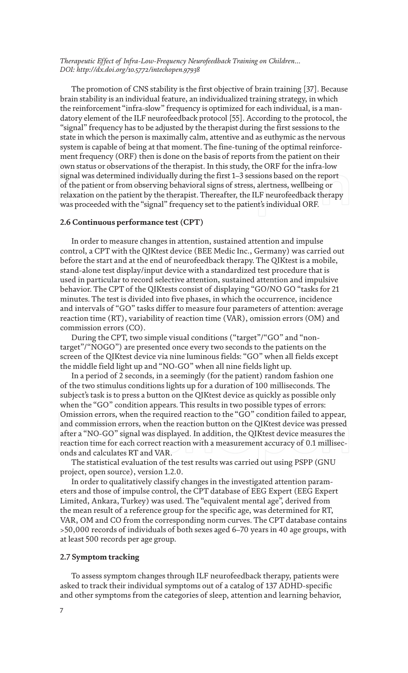The promotion of CNS stability is the first objective of brain training [37]. Because brain stability is an individual feature, an individualized training strategy, in which the reinforcement "infra-slow" frequency is optimized for each individual, is a mandatory element of the ILF neurofeedback protocol [55]. According to the protocol, the "signal" frequency has to be adjusted by the therapist during the first sessions to the state in which the person is maximally calm, attentive and as euthymic as the nervous system is capable of being at that moment. The fine-tuning of the optimal reinforcement frequency (ORF) then is done on the basis of reports from the patient on their own status or observations of the therapist. In this study, the ORF for the infra-low signal was determined individually during the first 1–3 sessions based on the report of the patient or from observing behavioral signs of stress, alertness, wellbeing or relaxation on the patient by the therapist. Thereafter, the ILF neurofeedback therapy was proceeded with the "signal" frequency set to the patient's individual ORF.

#### **2.6 Continuous performance test (CPT)**

In order to measure changes in attention, sustained attention and impulse control, a CPT with the QIKtest device (BEE Medic Inc., Germany) was carried out before the start and at the end of neurofeedback therapy. The QIKtest is a mobile, stand-alone test display/input device with a standardized test procedure that is used in particular to record selective attention, sustained attention and impulsive behavior. The CPT of the QIKtests consist of displaying "GO/NO GO "tasks for 21 minutes. The test is divided into five phases, in which the occurrence, incidence and intervals of "GO" tasks differ to measure four parameters of attention: average reaction time (RT), variability of reaction time (VAR), omission errors (OM) and commission errors (CO).

During the CPT, two simple visual conditions ("target"/"GO" and "nontarget"/"NOGO") are presented once every two seconds to the patients on the screen of the QIKtest device via nine luminous fields: "GO" when all fields except the middle field light up and "NO-GO" when all nine fields light up.

In a period of 2 seconds, in a seemingly (for the patient) random fashion one of the two stimulus conditions lights up for a duration of 100 milliseconds. The subject's task is to press a button on the QIKtest device as quickly as possible only when the "GO" condition appears. This results in two possible types of errors: Omission errors, when the required reaction to the "GO" condition failed to appear, and commission errors, when the reaction button on the QIKtest device was pressed after a "NO-GO" signal was displayed. In addition, the QIKtest device measures the reaction time for each correct reaction with a measurement accuracy of 0.1 milliseconds and calculates RT and VAR.

The statistical evaluation of the test results was carried out using PSPP (GNU project, open source), version 1.2.0.

In order to qualitatively classify changes in the investigated attention parameters and those of impulse control, the CPT database of EEG Expert (EEG Expert Limited, Ankara, Turkey) was used. The "equivalent mental age", derived from the mean result of a reference group for the specific age, was determined for RT, VAR, OM and CO from the corresponding norm curves. The CPT database contains >50,000 records of individuals of both sexes aged 6–70 years in 40 age groups, with at least 500 records per age group.

#### **2.7 Symptom tracking**

To assess symptom changes through ILF neurofeedback therapy, patients were asked to track their individual symptoms out of a catalog of 137 ADHD-specific and other symptoms from the categories of sleep, attention and learning behavior,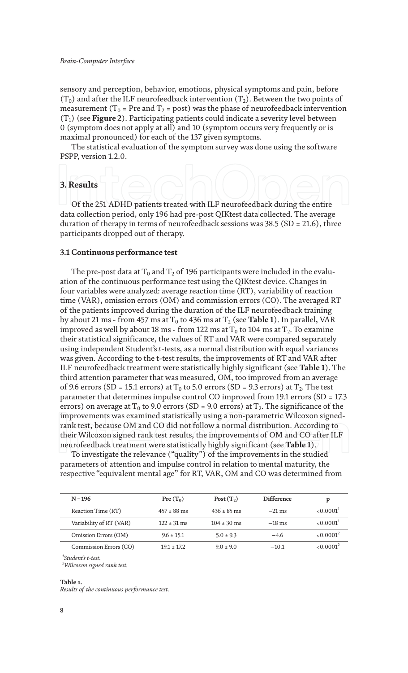sensory and perception, behavior, emotions, physical symptoms and pain, before  $(T_0)$  and after the ILF neurofeedback intervention  $(T_2)$ . Between the two points of measurement ( $T_0$  = Pre and  $T_2$  = post) was the phase of neurofeedback intervention (T1) (see **Figure 2**). Participating patients could indicate a severity level between 0 (symptom does not apply at all) and 10 (symptom occurs very frequently or is maximal pronounced) for each of the 137 given symptoms.

The statistical evaluation of the symptom survey was done using the software PSPP, version 1.2.0.

#### **3. Results**

Of the 251 ADHD patients treated with ILF neurofeedback during the entire data collection period, only 196 had pre-post QIKtest data collected. The average duration of therapy in terms of neurofeedback sessions was 38.5 (SD = 21.6), three participants dropped out of therapy.

#### **3.1 Continuous performance test**

The pre-post data at  $T_0$  and  $T_2$  of 196 participants were included in the evaluation of the continuous performance test using the QIKtest device. Changes in four variables were analyzed: average reaction time (RT), variability of reaction time (VAR), omission errors (OM) and commission errors (CO). The averaged RT of the patients improved during the duration of the ILF neurofeedback training by about 21 ms - from 457 ms at  $T_0$  to 436 ms at  $T_2$  (see **Table 1**). In parallel, VAR improved as well by about 18 ms - from 122 ms at  $T_0$  to 104 ms at  $T_2$ . To examine their statistical significance, the values of RT and VAR were compared separately using independent Student's *t*-tests, as a normal distribution with equal variances was given. According to the t-test results, the improvements of RT and VAR after ILF neurofeedback treatment were statistically highly significant (see **Table 1**). The third attention parameter that was measured, OM, too improved from an average of 9.6 errors (SD = 15.1 errors) at  $T_0$  to 5.0 errors (SD = 9.3 errors) at  $T_2$ . The test parameter that determines impulse control CO improved from 19.1 errors (SD = 17.3 errors) on average at T<sub>0</sub> to 9.0 errors (SD = 9.0 errors) at T<sub>2</sub>. The significance of the improvements was examined statistically using a non-parametric Wilcoxon signedrank test, because OM and CO did not follow a normal distribution. According to their Wilcoxon signed rank test results, the improvements of OM and CO after ILF neurofeedback treatment were statistically highly significant (see **Table 1**).

To investigate the relevance ("quality") of the improvements in the studied parameters of attention and impulse control in relation to mental maturity, the respective "equivalent mental age" for RT, VAR, OM and CO was determined from

| $N = 196$                                                       | Pre $(T_0)$              | Post $(T_2)$    | <b>Difference</b> | p                     |
|-----------------------------------------------------------------|--------------------------|-----------------|-------------------|-----------------------|
| Reaction Time (RT)                                              | $457 \pm 88$ ms          | $436 \pm 85$ ms | $-21$ ms          | < 0.0001 <sup>1</sup> |
| Variability of RT (VAR)                                         | $122 \pm 31 \,\text{ms}$ | $104 \pm 30$ ms | $-18$ ms          | < 0.0001 <sup>1</sup> |
| Omission Errors (OM)                                            | $9.6 \pm 15.1$           | $5.0 \pm 9.3$   | $-4.6$            | < 0.0001 <sup>2</sup> |
| Commission Errors (CO)                                          | $19.1 \pm 17.2$          | $9.0 \pm 9.0$   | $-10.1$           | < 0.0001 <sup>2</sup> |
| $1Student's t-test.$<br><sup>2</sup> Wilcoxon signed rank test. |                          |                 |                   |                       |

#### **Table 1.** *Results of the continuous performance test.*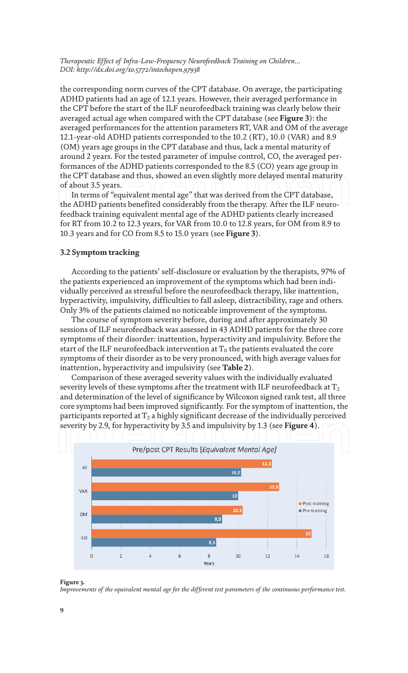the corresponding norm curves of the CPT database. On average, the participating ADHD patients had an age of 12.1 years. However, their averaged performance in the CPT before the start of the ILF neurofeedback training was clearly below their averaged actual age when compared with the CPT database (see **Figure 3**): the averaged performances for the attention parameters RT, VAR and OM of the average 12.1-year-old ADHD patients corresponded to the 10.2 (RT), 10.0 (VAR) and 8.9 (OM) years age groups in the CPT database and thus, lack a mental maturity of around 2 years. For the tested parameter of impulse control, CO, the averaged performances of the ADHD patients corresponded to the 8.5 (CO) years age group in the CPT database and thus, showed an even slightly more delayed mental maturity of about 3.5 years.

In terms of "equivalent mental age" that was derived from the CPT database, the ADHD patients benefited considerably from the therapy. After the ILF neurofeedback training equivalent mental age of the ADHD patients clearly increased for RT from 10.2 to 12.3 years, for VAR from 10.0 to 12.8 years, for OM from 8.9 to 10.3 years and for CO from 8.5 to 15.0 years (see **Figure 3**).

#### **3.2 Symptom tracking**

According to the patients' self-disclosure or evaluation by the therapists, 97% of the patients experienced an improvement of the symptoms which had been individually perceived as stressful before the neurofeedback therapy, like inattention, hyperactivity, impulsivity, difficulties to fall asleep, distractibility, rage and others. Only 3% of the patients claimed no noticeable improvement of the symptoms.

The course of symptom severity before, during and after approximately 30 sessions of ILF neurofeedback was assessed in 43 ADHD patients for the three core symptoms of their disorder: inattention, hyperactivity and impulsivity. Before the start of the ILF neurofeedback intervention at  $T_0$  the patients evaluated the core symptoms of their disorder as to be very pronounced, with high average values for inattention, hyperactivity and impulsivity (see **Table 2**).

Comparison of these averaged severity values with the individually evaluated severity levels of these symptoms after the treatment with ILF neurofeedback at  $T_2$ and determination of the level of significance by Wilcoxon signed rank test, all three core symptoms had been improved significantly. For the symptom of inattention, the participants reported at  $T_2$  a highly significant decrease of the individually perceived severity by 2.9, for hyperactivity by 3.5 and impulsivity by 1.3 (see **Figure 4**).



**Figure 3.**

*Improvements of the equivalent mental age for the different test parameters of the continuous performance test.*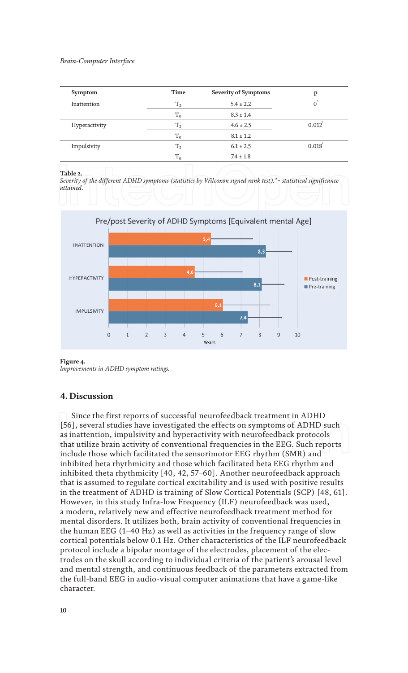| Time           | <b>Severity of Symptoms</b> | p            |
|----------------|-----------------------------|--------------|
| T <sub>2</sub> | $5.4 \pm 2.2$               | $\mathbf{0}$ |
| $T_0$          | $8.3 \pm 1.4$               |              |
| T <sub>2</sub> | $4.6 \pm 2.5$               | 0.012        |
| $T_0$          | $8.1 \pm 1.2$               |              |
| T <sub>2</sub> | $6.1 \pm 2.5$               | 0.018        |
| $T_0$          | $7.4 \pm 1.8$               |              |
|                |                             |              |

#### **Table 2.**

*Severity of the different ADHD symptoms (statistics by Wilcoxon signed rank test).\*= statistical significance attained.*



#### **Figure 4.**

*Improvements in ADHD symptom ratings.*

# **4. Discussion**

Since the first reports of successful neurofeedback treatment in ADHD [56], several studies have investigated the effects on symptoms of ADHD such as inattention, impulsivity and hyperactivity with neurofeedback protocols that utilize brain activity of conventional frequencies in the EEG. Such reports include those which facilitated the sensorimotor EEG rhythm (SMR) and inhibited beta rhythmicity and those which facilitated beta EEG rhythm and inhibited theta rhythmicity [40, 42, 57–60]. Another neurofeedback approach that is assumed to regulate cortical excitability and is used with positive results in the treatment of ADHD is training of Slow Cortical Potentials (SCP) [48, 61]. However, in this study Infra-low Frequency (ILF) neurofeedback was used, a modern, relatively new and effective neurofeedback treatment method for mental disorders. It utilizes both, brain activity of conventional frequencies in the human EEG (1–40 Hz) as well as activities in the frequency range of slow cortical potentials below 0.1 Hz. Other characteristics of the ILF neurofeedback protocol include a bipolar montage of the electrodes, placement of the electrodes on the skull according to individual criteria of the patient's arousal level and mental strength, and continuous feedback of the parameters extracted from the full-band EEG in audio-visual computer animations that have a game-like character.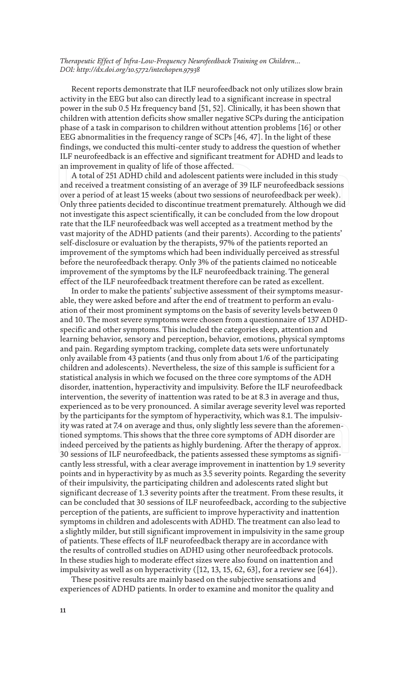Recent reports demonstrate that ILF neurofeedback not only utilizes slow brain activity in the EEG but also can directly lead to a significant increase in spectral power in the sub 0.5 Hz frequency band [51, 52]. Clinically, it has been shown that children with attention deficits show smaller negative SCPs during the anticipation phase of a task in comparison to children without attention problems [16] or other EEG abnormalities in the frequency range of SCPs [46, 47]. In the light of these findings, we conducted this multi-center study to address the question of whether ILF neurofeedback is an effective and significant treatment for ADHD and leads to an improvement in quality of life of those affected.

A total of 251 ADHD child and adolescent patients were included in this study and received a treatment consisting of an average of 39 ILF neurofeedback sessions over a period of at least 15 weeks (about two sessions of neurofeedback per week). Only three patients decided to discontinue treatment prematurely. Although we did not investigate this aspect scientifically, it can be concluded from the low dropout rate that the ILF neurofeedback was well accepted as a treatment method by the vast majority of the ADHD patients (and their parents). According to the patients' self-disclosure or evaluation by the therapists, 97% of the patients reported an improvement of the symptoms which had been individually perceived as stressful before the neurofeedback therapy. Only 3% of the patients claimed no noticeable improvement of the symptoms by the ILF neurofeedback training. The general effect of the ILF neurofeedback treatment therefore can be rated as excellent.

In order to make the patients' subjective assessment of their symptoms measurable, they were asked before and after the end of treatment to perform an evaluation of their most prominent symptoms on the basis of severity levels between 0 and 10. The most severe symptoms were chosen from a questionnaire of 137 ADHDspecific and other symptoms. This included the categories sleep, attention and learning behavior, sensory and perception, behavior, emotions, physical symptoms and pain. Regarding symptom tracking, complete data sets were unfortunately only available from 43 patients (and thus only from about 1/6 of the participating children and adolescents). Nevertheless, the size of this sample is sufficient for a statistical analysis in which we focused on the three core symptoms of the ADH disorder, inattention, hyperactivity and impulsivity. Before the ILF neurofeedback intervention, the severity of inattention was rated to be at 8.3 in average and thus, experienced as to be very pronounced. A similar average severity level was reported by the participants for the symptom of hyperactivity, which was 8.1. The impulsivity was rated at 7.4 on average and thus, only slightly less severe than the aforementioned symptoms. This shows that the three core symptoms of ADH disorder are indeed perceived by the patients as highly burdening. After the therapy of approx. 30 sessions of ILF neurofeedback, the patients assessed these symptoms as significantly less stressful, with a clear average improvement in inattention by 1.9 severity points and in hyperactivity by as much as 3.5 severity points. Regarding the severity of their impulsivity, the participating children and adolescents rated slight but significant decrease of 1.3 severity points after the treatment. From these results, it can be concluded that 30 sessions of ILF neurofeedback, according to the subjective perception of the patients, are sufficient to improve hyperactivity and inattention symptoms in children and adolescents with ADHD. The treatment can also lead to a slightly milder, but still significant improvement in impulsivity in the same group of patients. These effects of ILF neurofeedback therapy are in accordance with the results of controlled studies on ADHD using other neurofeedback protocols. In these studies high to moderate effect sizes were also found on inattention and impulsivity as well as on hyperactivity ([12, 13, 15, 62, 63], for a review see [64]).

These positive results are mainly based on the subjective sensations and experiences of ADHD patients. In order to examine and monitor the quality and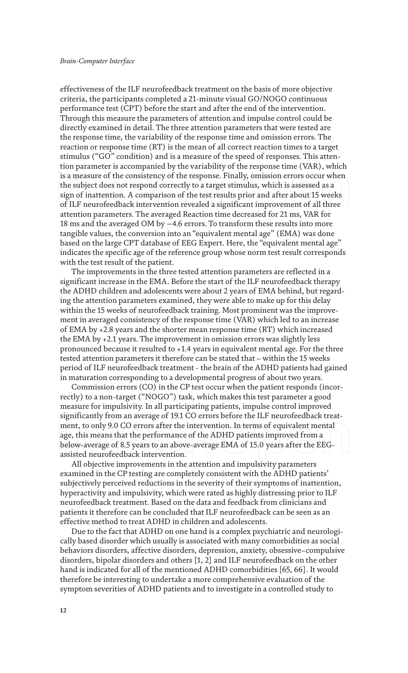effectiveness of the ILF neurofeedback treatment on the basis of more objective criteria, the participants completed a 21-minute visual GO/NOGO continuous performance test (CPT) before the start and after the end of the intervention. Through this measure the parameters of attention and impulse control could be directly examined in detail. The three attention parameters that were tested are the response time, the variability of the response time and omission errors. The reaction or response time (RT) is the mean of all correct reaction times to a target stimulus ("GO" condition) and is a measure of the speed of responses. This attention parameter is accompanied by the variability of the response time (VAR), which is a measure of the consistency of the response. Finally, omission errors occur when the subject does not respond correctly to a target stimulus, which is assessed as a sign of inattention. A comparison of the test results prior and after about 15 weeks of ILF neurofeedback intervention revealed a significant improvement of all three attention parameters. The averaged Reaction time decreased for 21 ms, VAR for 18 ms and the averaged OM by −4.6 errors. To transform these results into more tangible values, the conversion into an "equivalent mental age" (EMA) was done based on the large CPT database of EEG Expert. Here, the "equivalent mental age" indicates the specific age of the reference group whose norm test result corresponds with the test result of the patient.

The improvements in the three tested attention parameters are reflected in a significant increase in the EMA. Before the start of the ILF neurofeedback therapy the ADHD children and adolescents were about 2 years of EMA behind, but regarding the attention parameters examined, they were able to make up for this delay within the 15 weeks of neurofeedback training. Most prominent was the improvement in averaged consistency of the response time (VAR) which led to an increase of EMA by +2.8 years and the shorter mean response time (RT) which increased the EMA by +2.1 years. The improvement in omission errors was slightly less pronounced because it resulted to +1.4 years in equivalent mental age. For the three tested attention parameters it therefore can be stated that – within the 15 weeks period of ILF neurofeedback treatment - the brain of the ADHD patients had gained in maturation corresponding to a developmental progress of about two years.

Commission errors (CO) in the CP test occur when the patient responds (incorrectly) to a non-target ("NOGO") task, which makes this test parameter a good measure for impulsivity. In all participating patients, impulse control improved significantly from an average of 19.1 CO errors before the ILF neurofeedback treatment, to only 9.0 CO errors after the intervention. In terms of equivalent mental age, this means that the performance of the ADHD patients improved from a below-average of 8.5 years to an above-average EMA of 15.0 years after the EEGassisted neurofeedback intervention.

All objective improvements in the attention and impulsivity parameters examined in the CP testing are completely consistent with the ADHD patients' subjectively perceived reductions in the severity of their symptoms of inattention, hyperactivity and impulsivity, which were rated as highly distressing prior to ILF neurofeedback treatment. Based on the data and feedback from clinicians and patients it therefore can be concluded that ILF neurofeedback can be seen as an effective method to treat ADHD in children and adolescents.

Due to the fact that ADHD on one hand is a complex psychiatric and neurologically based disorder which usually is associated with many comorbidities as social behaviors disorders, affective disorders, depression, anxiety, obsessive–compulsive disorders, bipolar disorders and others [1, 2] and ILF neurofeedback on the other hand is indicated for all of the mentioned ADHD comorbidities [65, 66]. It would therefore be interesting to undertake a more comprehensive evaluation of the symptom severities of ADHD patients and to investigate in a controlled study to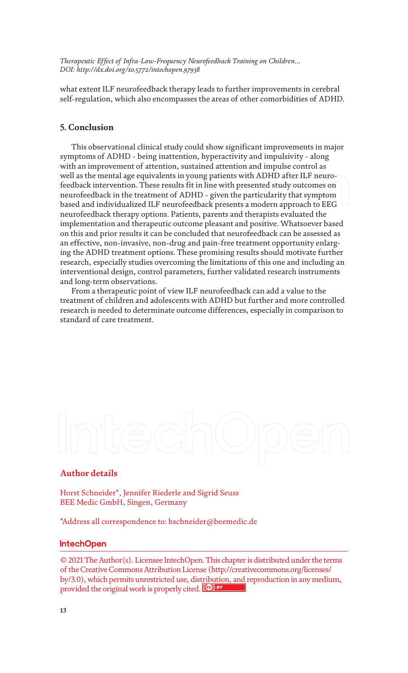what extent ILF neurofeedback therapy leads to further improvements in cerebral self-regulation, which also encompasses the areas of other comorbidities of ADHD.

# **5. Conclusion**

This observational clinical study could show significant improvements in major symptoms of ADHD - being inattention, hyperactivity and impulsivity - along with an improvement of attention, sustained attention and impulse control as well as the mental age equivalents in young patients with ADHD after ILF neurofeedback intervention. These results fit in line with presented study outcomes on neurofeedback in the treatment of ADHD - given the particularity that symptom based and individualized ILF neurofeedback presents a modern approach to EEG neurofeedback therapy options. Patients, parents and therapists evaluated the implementation and therapeutic outcome pleasant and positive. Whatsoever based on this and prior results it can be concluded that neurofeedback can be assessed as an effective, non-invasive, non-drug and pain-free treatment opportunity enlarging the ADHD treatment options. These promising results should motivate further research, especially studies overcoming the limitations of this one and including an interventional design, control parameters, further validated research instruments and long-term observations.

From a therapeutic point of view ILF neurofeedback can add a value to the treatment of children and adolescents with ADHD but further and more controlled research is needed to determinate outcome differences, especially in comparison to standard of care treatment.

# **Author details**

Horst Schneider\*, Jennifer Riederle and Sigrid Seuss BEE Medic GmbH, Singen, Germany

\*Address all correspondence to: hschneider@beemedic.de

# **IntechOpen**

© 2021 The Author(s). Licensee IntechOpen. This chapter is distributed under the terms of the Creative Commons Attribution License (http://creativecommons.org/licenses/ by/3.0), which permits unrestricted use, distribution, and reproduction in any medium, provided the original work is properly cited. Cco BY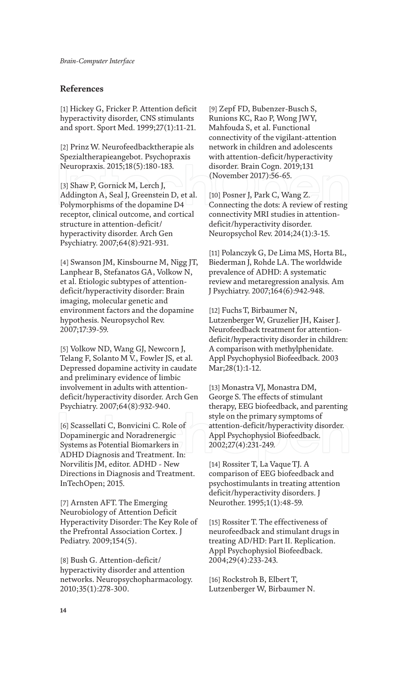# **References**

[1] Hickey G, Fricker P. Attention deficit hyperactivity disorder, CNS stimulants and sport. Sport Med. 1999;27(1):11-21.

[2] Prinz W. Neurofeedbacktherapie als Spezialtherapieangebot. Psychopraxis Neuropraxis. 2015;18(5):180-183.

[3] Shaw P, Gornick M, Lerch J, Addington A, Seal J, Greenstein D, et al. Polymorphisms of the dopamine D4 receptor, clinical outcome, and cortical structure in attention-deficit/ hyperactivity disorder. Arch Gen Psychiatry. 2007;64(8):921-931.

[4] Swanson JM, Kinsbourne M, Nigg JT, Lanphear B, Stefanatos GA, Volkow N, et al. Etiologic subtypes of attentiondeficit/hyperactivity disorder: Brain imaging, molecular genetic and environment factors and the dopamine hypothesis. Neuropsychol Rev. 2007;17:39-59.

[5] Volkow ND, Wang GJ, Newcorn J, Telang F, Solanto M V., Fowler JS, et al. Depressed dopamine activity in caudate and preliminary evidence of limbic involvement in adults with attentiondeficit/hyperactivity disorder. Arch Gen Psychiatry. 2007;64(8):932-940.

[6] Scassellati C, Bonvicini C. Role of Dopaminergic and Noradrenergic Systems as Potential Biomarkers in ADHD Diagnosis and Treatment. In: Norvilitis JM, editor. ADHD - New Directions in Diagnosis and Treatment. InTechOpen; 2015.

[7] Arnsten AFT. The Emerging Neurobiology of Attention Deficit Hyperactivity Disorder: The Key Role of the Prefrontal Association Cortex. J Pediatry. 2009;154(5).

[8] Bush G. Attention-deficit/ hyperactivity disorder and attention networks. Neuropsychopharmacology. 2010;35(1):278-300.

[9] Zepf FD, Bubenzer-Busch S, Runions KC, Rao P, Wong JWY, Mahfouda S, et al. Functional connectivity of the vigilant-attention network in children and adolescents with attention-deficit/hyperactivity disorder. Brain Cogn. 2019;131 (November 2017):56-65.

[10] Posner J, Park C, Wang Z. Connecting the dots: A review of resting connectivity MRI studies in attentiondeficit/hyperactivity disorder. Neuropsychol Rev. 2014;24(1):3-15.

[11] Polanczyk G, De Lima MS, Horta BL, Biederman J, Rohde LA. The worldwide prevalence of ADHD: A systematic review and metaregression analysis. Am J Psychiatry. 2007;164(6):942-948.

[12] Fuchs T, Birbaumer N, Lutzenberger W, Gruzelier JH, Kaiser J. Neurofeedback treatment for attentiondeficit/hyperactivity disorder in children: A comparison with methylphenidate. Appl Psychophysiol Biofeedback. 2003 Mar;28(1):1-12.

[13] Monastra VJ, Monastra DM, George S. The effects of stimulant therapy, EEG biofeedback, and parenting style on the primary symptoms of attention-deficit/hyperactivity disorder. Appl Psychophysiol Biofeedback. 2002;27(4):231-249.

[14] Rossiter T, La Vaque TJ. A comparison of EEG biofeedback and psychostimulants in treating attention deficit/hyperactivity disorders. J Neurother. 1995;1(1):48-59.

[15] Rossiter T. The effectiveness of neurofeedback and stimulant drugs in treating AD/HD: Part II. Replication. Appl Psychophysiol Biofeedback. 2004;29(4):233-243.

[16] Rockstroh B, Elbert T, Lutzenberger W, Birbaumer N.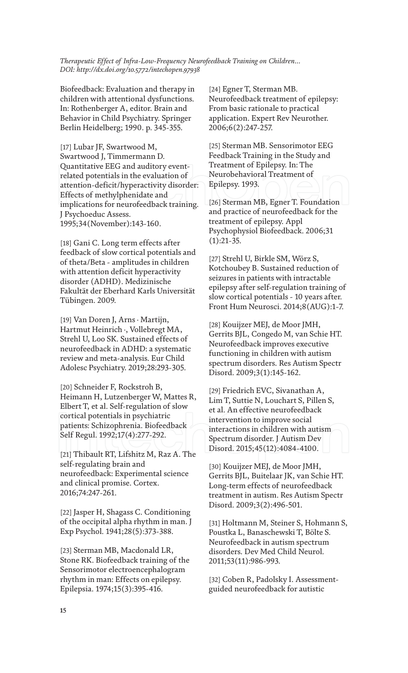Biofeedback: Evaluation and therapy in children with attentional dysfunctions. In: Rothenberger A, editor. Brain and Behavior in Child Psychiatry. Springer Berlin Heidelberg; 1990. p. 345-355.

[17] Lubar JF, Swartwood M, Swartwood J, Timmermann D. Quantitative EEG and auditory eventrelated potentials in the evaluation of attention-deficit/hyperactivity disorder: Effects of methylphenidate and implications for neurofeedback training. J Psychoeduc Assess. 1995;34(November):143-160.

[18] Gani C. Long term effects after feedback of slow cortical potentials and of theta/Beta - amplitudes in children with attention deficit hyperactivity disorder (ADHD). Medizinische Fakultät der Eberhard Karls Universität Tübingen. 2009.

[19] Van Doren J, Arns · Martijn, Hartmut Heinrich ·, Vollebregt MA, Strehl U, Loo SK. Sustained effects of neurofeedback in ADHD: a systematic review and meta-analysis. Eur Child Adolesc Psychiatry. 2019;28:293-305.

[20] Schneider F, Rockstroh B, Heimann H, Lutzenberger W, Mattes R, Elbert T, et al. Self-regulation of slow cortical potentials in psychiatric patients: Schizophrenia. Biofeedback Self Regul. 1992;17(4):277-292.

[21] Thibault RT, Lifshitz M, Raz A. The self-regulating brain and neurofeedback: Experimental science and clinical promise. Cortex. 2016;74:247-261.

[22] Jasper H, Shagass C. Conditioning of the occipital alpha rhythm in man. J Exp Psychol. 1941;28(5):373-388.

[23] Sterman MB, Macdonald LR, Stone RK. Biofeedback training of the Sensorimotor electroencephalogram rhythm in man: Effects on epilepsy. Epilepsia. 1974;15(3):395-416.

[24] Egner T, Sterman MB. Neurofeedback treatment of epilepsy: From basic rationale to practical application. Expert Rev Neurother. 2006;6(2):247-257.

[25] Sterman MB. Sensorimotor EEG Feedback Training in the Study and Treatment of Epilepsy. In: The Neurobehavioral Treatment of Epilepsy. 1993.

[26] Sterman MB, Egner T. Foundation and practice of neurofeedback for the treatment of epilepsy. Appl Psychophysiol Biofeedback. 2006;31  $(1):21-35.$ 

[27] Strehl U, Birkle SM, Wörz S, Kotchoubey B. Sustained reduction of seizures in patients with intractable epilepsy after self-regulation training of slow cortical potentials - 10 years after. Front Hum Neurosci. 2014;8(AUG):1-7.

[28] Kouijzer MEJ, de Moor JMH, Gerrits BJL, Congedo M, van Schie HT. Neurofeedback improves executive functioning in children with autism spectrum disorders. Res Autism Spectr Disord. 2009;3(1):145-162.

[29] Friedrich EVC, Sivanathan A, Lim T, Suttie N, Louchart S, Pillen S, et al. An effective neurofeedback intervention to improve social interactions in children with autism Spectrum disorder. J Autism Dev Disord. 2015;45(12):4084-4100.

[30] Kouijzer MEJ, de Moor JMH, Gerrits BJL, Buitelaar JK, van Schie HT. Long-term effects of neurofeedback treatment in autism. Res Autism Spectr Disord. 2009;3(2):496-501.

[31] Holtmann M, Steiner S, Hohmann S, Poustka L, Banaschewski T, Bölte S. Neurofeedback in autism spectrum disorders. Dev Med Child Neurol. 2011;53(11):986-993.

[32] Coben R, Padolsky I. Assessmentguided neurofeedback for autistic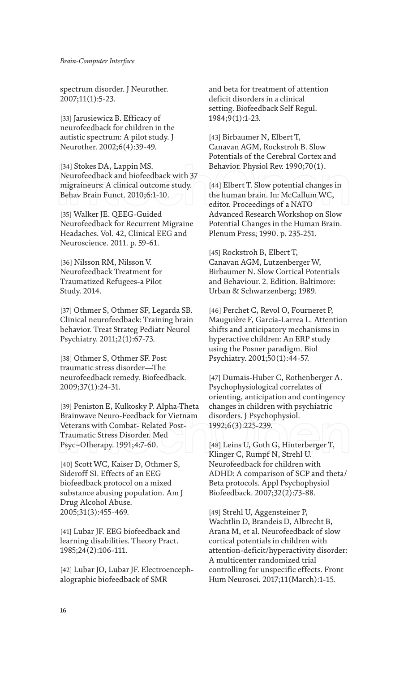spectrum disorder. J Neurother. 2007;11(1):5-23.

[33] Jarusiewicz B. Efficacy of neurofeedback for children in the autistic spectrum: A pilot study. J Neurother. 2002;6(4):39-49.

[34] Stokes DA, Lappin MS. Neurofeedback and biofeedback with 37 migraineurs: A clinical outcome study. Behav Brain Funct. 2010;6:1-10.

[35] Walker JE. QEEG-Guided Neurofeedback for Recurrent Migraine Headaches. Vol. 42, Clinical EEG and Neuroscience. 2011. p. 59-61.

[36] Nilsson RM, Nilsson V. Neurofeedback Treatment for Traumatized Refugees-a Pilot Study. 2014.

[37] Othmer S, Othmer SF, Legarda SB. Clinical neurofeedback: Training brain behavior. Treat Strateg Pediatr Neurol Psychiatry. 2011;2(1):67-73.

[38] Othmer S, Othmer SF. Post traumatic stress disorder—The neurofeedback remedy. Biofeedback. 2009;37(1):24-31.

[39] Peniston E, Kulkosky P. Alpha-Theta Brainwave Neuro-Feedback for Vietnam Veterans with Combat- Related Post-Traumatic Stress Disorder. Med Psyc~OIherapy. 1991;4:7-60.

[40] Scott WC, Kaiser D, Othmer S, Sideroff SI. Effects of an EEG biofeedback protocol on a mixed substance abusing population. Am J Drug Alcohol Abuse. 2005;31(3):455-469.

[41] Lubar JF. EEG biofeedback and learning disabilities. Theory Pract. 1985;24(2):106-111.

[42] Lubar JO, Lubar JF. Electroencephalographic biofeedback of SMR

and beta for treatment of attention deficit disorders in a clinical setting. Biofeedback Self Regul. 1984;9(1):1-23.

[43] Birbaumer N, Elbert T, Canavan AGM, Rockstroh B. Slow Potentials of the Cerebral Cortex and Behavior. Physiol Rev. 1990;70(1).

[44] Elbert T. Slow potential changes in the human brain. In: McCallum WC, editor. Proceedings of a NATO Advanced Research Workshop on Slow Potential Changes in the Human Brain. Plenum Press; 1990. p. 235-251.

[45] Rockstroh B, Elbert T, Canavan AGM, Lutzenberger W, Birbaumer N. Slow Cortical Potentials and Behaviour. 2. Edition. Baltimore: Urban & Schwarzenberg; 1989.

[46] Perchet C, Revol O, Fourneret P, Mauguière F, Garcia-Larrea L. Attention shifts and anticipatory mechanisms in hyperactive children: An ERP study using the Posner paradigm. Biol Psychiatry. 2001;50(1):44-57.

[47] Dumais-Huber C, Rothenberger A. Psychophysiological correlates of orienting, anticipation and contingency changes in children with psychiatric disorders. J Psychophysiol. 1992;6(3):225-239.

[48] Leins U, Goth G, Hinterberger T, Klinger C, Rumpf N, Strehl U. Neurofeedback for children with ADHD: A comparison of SCP and theta/ Beta protocols. Appl Psychophysiol Biofeedback. 2007;32(2):73-88.

[49] Strehl U, Aggensteiner P, Wachtlin D, Brandeis D, Albrecht B, Arana M, et al. Neurofeedback of slow cortical potentials in children with attention-deficit/hyperactivity disorder: A multicenter randomized trial controlling for unspecific effects. Front Hum Neurosci. 2017;11(March):1-15.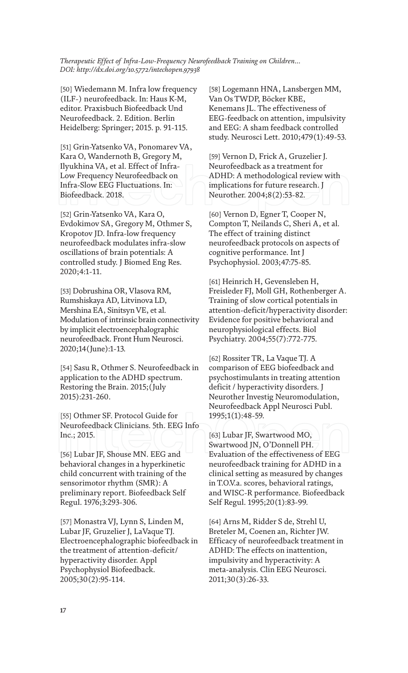[50] Wiedemann M. Infra low frequency (ILF-) neurofeedback. In: Haus K-M, editor. Praxisbuch Biofeedback Und Neurofeedback. 2. Edition. Berlin Heidelberg: Springer; 2015. p. 91-115.

[51] Grin-Yatsenko VA, Ponomarev VA, Kara O, Wandernoth B, Gregory M, Ilyukhina VA, et al. Effect of Infra-Low Frequency Neurofeedback on Infra-Slow EEG Fluctuations. In: Biofeedback. 2018.

[52] Grin-Yatsenko VA, Kara O, Evdokimov SA, Gregory M, Othmer S, Kropotov JD. Infra-low frequency neurofeedback modulates infra-slow oscillations of brain potentials: A controlled study. J Biomed Eng Res. 2020;4:1-11.

[53] Dobrushina OR, Vlasova RM, Rumshiskaya AD, Litvinova LD, Mershina EA, Sinitsyn VE, et al. Modulation of intrinsic brain connectivity by implicit electroencephalographic neurofeedback. Front Hum Neurosci. 2020;14(June):1-13.

[54] Sasu R, Othmer S. Neurofeedback in application to the ADHD spectrum. Restoring the Brain. 2015;(July 2015):231-260.

[55] Othmer SF. Protocol Guide for Neurofeedback Clinicians. 5th. EEG Info Inc.; 2015.

[56] Lubar JF, Shouse MN. EEG and behavioral changes in a hyperkinetic child concurrent with training of the sensorimotor rhythm (SMR): A preliminary report. Biofeedback Self Regul. 1976;3:293-306.

[57] Monastra VJ, Lynn S, Linden M, Lubar JF, Gruzelier J, LaVaque TJ. Electroencephalographic biofeedback in the treatment of attention-deficit/ hyperactivity disorder. Appl Psychophysiol Biofeedback. 2005;30(2):95-114.

[58] Logemann HNA, Lansbergen MM, Van Os TWDP, Böcker KBE, Kenemans JL. The effectiveness of EEG-feedback on attention, impulsivity and EEG: A sham feedback controlled study. Neurosci Lett. 2010;479(1):49-53.

[59] Vernon D, Frick A, Gruzelier J. Neurofeedback as a treatment for ADHD: A methodological review with implications for future research. J Neurother. 2004;8(2):53-82.

[60] Vernon D, Egner T, Cooper N, Compton T, Neilands C, Sheri A, et al. The effect of training distinct neurofeedback protocols on aspects of cognitive performance. Int J Psychophysiol. 2003;47:75-85.

[61] Heinrich H, Gevensleben H, Freisleder FJ, Moll GH, Rothenberger A. Training of slow cortical potentials in attention-deficit/hyperactivity disorder: Evidence for positive behavioral and neurophysiological effects. Biol Psychiatry. 2004;55(7):772-775.

[62] Rossiter TR, La Vaque TJ. A comparison of EEG biofeedback and psychostimulants in treating attention deficit / hyperactivity disorders. J Neurother Investig Neuromodulation, Neurofeedback Appl Neurosci Publ. 1995;1(1):48-59.

[63] Lubar JF, Swartwood MO, Swartwood JN, O'Donnell PH. Evaluation of the effectiveness of EEG neurofeedback training for ADHD in a clinical setting as measured by changes in T.O.V.a. scores, behavioral ratings, and WISC-R performance. Biofeedback Self Regul. 1995;20(1):83-99.

[64] Arns M, Ridder S de, Strehl U, Breteler M, Coenen an, Richter JW. Efficacy of neurofeedback treatment in ADHD: The effects on inattention, impulsivity and hyperactivity: A meta-analysis. Clin EEG Neurosci. 2011;30(3):26-33.